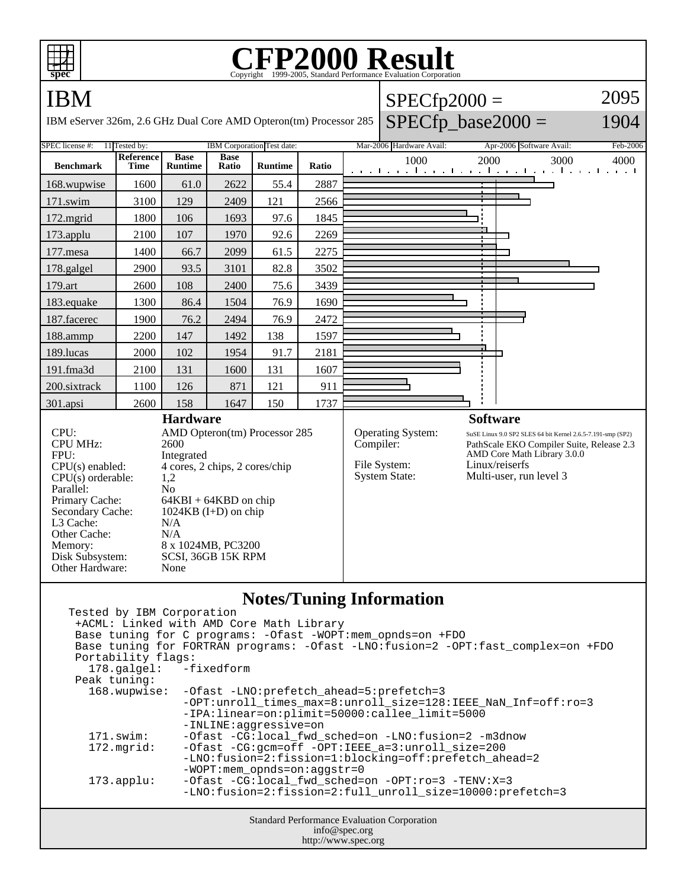

## **CFP2000 Result** Copyright ©1999-2005, Standard Performance Evaluation



| Tested by IBM Corporation                                                            |  |  |
|--------------------------------------------------------------------------------------|--|--|
| +ACML: Linked with AMD Core Math Library                                             |  |  |
| Base tuning for C programs: - Ofast - WOPT: mem_opnds=on +FDO                        |  |  |
| Base tuning for FORTRAN programs: - Ofast -LNO: fusion=2 - OPT: fast_complex=on +FDO |  |  |
| Portability flags:                                                                   |  |  |
| 178.galgel: -fixedform                                                               |  |  |
| Peak tuning:                                                                         |  |  |
| 168.wupwise:<br>-Ofast -LNO: prefetch_ahead=5: prefetch=3                            |  |  |
| -OPT:unroll_times_max=8:unroll_size=128:IEEE_NaN_Inf=off:ro=3                        |  |  |
| -IPA:linear=on:plimit=50000:callee limit=5000                                        |  |  |
| -INLINE:aggressive=on                                                                |  |  |
| $171$ .swim:<br>-Ofast -CG:local fwd sched=on -LNO:fusion=2 -m3dnow                  |  |  |
| -Ofast -CG:gcm=off -OPT:IEEE_a=3:unroll_size=200<br>172.mgrid:                       |  |  |
| -LNO:fusion=2:fission=1:blocking=off:prefetch ahead=2                                |  |  |
| $-WOPT$ : mem opnds=on: aqqstr=0                                                     |  |  |
| $-Ofast$ -CG:local fwd sched=on -OPT:ro=3 -TENV:X=3<br>$173.\text{applu}:$           |  |  |
| -LNO: fusion=2: fission=2: full unroll size=10000: prefetch=3                        |  |  |
|                                                                                      |  |  |
| <b>Standard Performance Evaluation Corporation</b>                                   |  |  |
| info@spec.org                                                                        |  |  |

http://www.spec.org